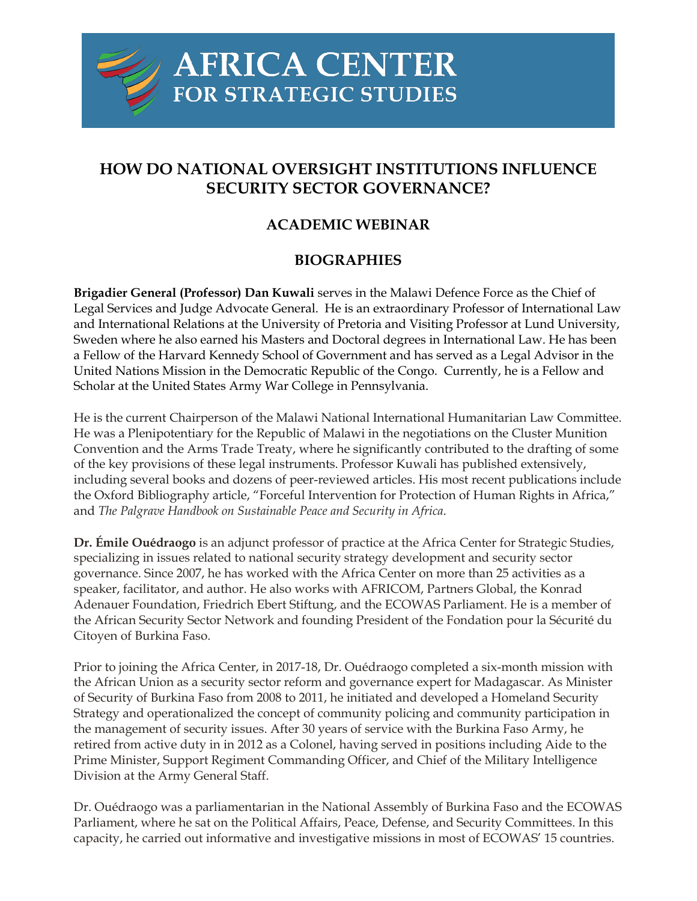

## **HOW DO NATIONAL OVERSIGHT INSTITUTIONS INFLUENCE SECURITY SECTOR GOVERNANCE?**

## **ACADEMIC WEBINAR**

## **BIOGRAPHIES**

**Brigadier General (Professor) Dan Kuwali** serves in the Malawi Defence Force as the Chief of Legal Services and Judge Advocate General. He is an extraordinary Professor of International Law and International Relations at the University of Pretoria and Visiting Professor at Lund University, Sweden where he also earned his Masters and Doctoral degrees in International Law. He has been a Fellow of the Harvard Kennedy School of Government and has served as a Legal Advisor in the United Nations Mission in the Democratic Republic of the Congo. Currently, he is a Fellow and Scholar at the United States Army War College in Pennsylvania.

He is the current Chairperson of the Malawi National International Humanitarian Law Committee. He was a Plenipotentiary for the Republic of Malawi in the negotiations on the Cluster Munition Convention and the Arms Trade Treaty, where he significantly contributed to the drafting of some of the key provisions of these legal instruments. Professor Kuwali has published extensively, including several books and dozens of peer-reviewed articles. His most recent publications include the Oxford Bibliography article, "Forceful Intervention for Protection of Human Rights in Africa," and *The Palgrave Handbook on Sustainable Peace and Security in Africa*.

**Dr. Émile Ouédraogo** is an adjunct professor of practice at the Africa Center for Strategic Studies, specializing in issues related to national security strategy development and security sector governance. Since 2007, he has worked with the Africa Center on more than 25 activities as a speaker, facilitator, and author. He also works with AFRICOM, Partners Global, the Konrad Adenauer Foundation, Friedrich Ebert Stiftung, and the ECOWAS Parliament. He is a member of the African Security Sector Network and founding President of the Fondation pour la Sécurité du Citoyen of Burkina Faso.

Prior to joining the Africa Center, in 2017-18, Dr. Ouédraogo completed a six-month mission with the African Union as a security sector reform and governance expert for Madagascar. As Minister of Security of Burkina Faso from 2008 to 2011, he initiated and developed a Homeland Security Strategy and operationalized the concept of community policing and community participation in the management of security issues. After 30 years of service with the Burkina Faso Army, he retired from active duty in in 2012 as a Colonel, having served in positions including Aide to the Prime Minister, Support Regiment Commanding Officer, and Chief of the Military Intelligence Division at the Army General Staff.

Dr. Ouédraogo was a parliamentarian in the National Assembly of Burkina Faso and the ECOWAS Parliament, where he sat on the Political Affairs, Peace, Defense, and Security Committees. In this capacity, he carried out informative and investigative missions in most of ECOWAS' 15 countries.